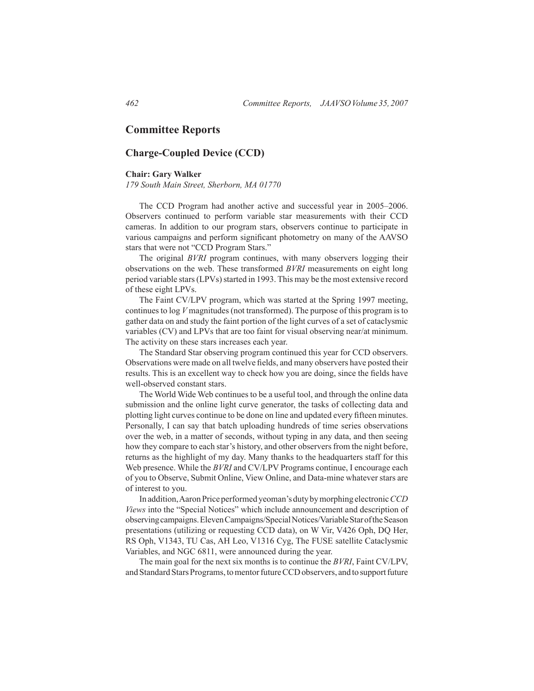# **Committee Reports**

# **Charge-Coupled Device (CCD)**

## **Chair: Gary Walker**

*179 South Main Street, Sherborn, MA 01770*

 The CCD Program had another active and successful year in 2005–2006. Observers continued to perform variable star measurements with their CCD cameras. In addition to our program stars, observers continue to participate in various campaigns and perform significant photometry on many of the AAVSO stars that were not "CCD Program Stars."

 The original *BVRI* program continues, with many observers logging their observations on the web. These transformed *BVRI* measurements on eight long period variable stars (LPVs) started in 1993. This may be the most extensive record of these eight LPVs.

The Faint CV/LPV program, which was started at the Spring 1997 meeting, continuesto log *V* magnitudes (not transformed). The purpose of this program is to gather data on and study the faint portion of the light curves of a set of cataclysmic variables (CV) and LPVs that are too faint for visual observing near/at minimum. The activity on these stars increases each year.

The Standard Star observing program continued this year for CCD observers. Observations were made on all twelve fields, and many observers have posted their results. This is an excellent way to check how you are doing, since the fields have well-observed constant stars.

The World Wide Web continues to be a useful tool, and through the online data submission and the online light curve generator, the tasks of collecting data and plotting light curves continue to be done on line and updated every fifteen minutes. Personally, I can say that batch uploading hundreds of time series observations over the web, in a matter of seconds, without typing in any data, and then seeing how they compare to each star's history, and other observers from the night before, returns as the highlight of my day. Many thanks to the headquarters staff for this Web presence. While the *BVRI* and CV/LPV Programs continue, I encourage each of you to Observe, Submit Online, View Online, and Data-mine whatever stars are of interest to you.

In addition, Aaron Price performed yeoman's duty by morphing electronic *CCD Views* into the "Special Notices" which include announcement and description of observing campaigns. Eleven Campaigns/Special Notices/Variable Star of the Season presentations (utilizing or requesting CCD data), on W Vir, V426 Oph, DQ Her, RS Oph, V1343, TU Cas, AH Leo, V1316 Cyg, The FUSE satellite Cataclysmic Variables, and NGC 6811, were announced during the year.

The main goal for the next six months is to continue the *BVRI*, Faint CV/LPV, and Standard Stars Programs, to mentor future CCD observers, and to support future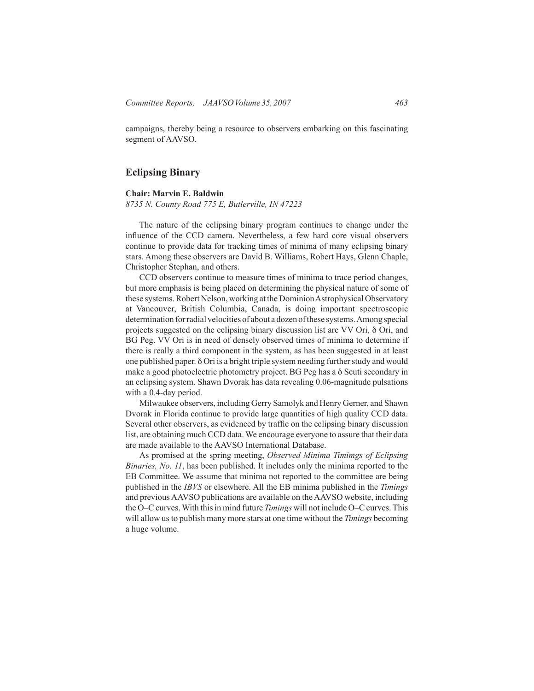campaigns, thereby being a resource to observers embarking on this fascinating segment of AAVSO.

# **Eclipsing Binary**

### **Chair: Marvin E. Baldwin**

*8735 N. County Road 775 E, Butlerville, IN 47223*

 The nature of the eclipsing binary program continues to change under the influence of the CCD camera. Nevertheless, a few hard core visual observers continue to provide data for tracking times of minima of many eclipsing binary stars. Among these observers are David B. Williams, Robert Hays, Glenn Chaple, Christopher Stephan, and others.

 CCD observers continue to measure times of minima to trace period changes, but more emphasis is being placed on determining the physical nature of some of these systems. Robert Nelson, working at the Dominion Astrophysical Observatory at Vancouver, British Columbia, Canada, is doing important spectroscopic determination for radial velocities of about a dozen of these systems. Among special projects suggested on the eclipsing binary discussion list are VV Ori, δ Ori, and BG Peg. VV Ori is in need of densely observed times of minima to determine if there is really a third component in the system, as has been suggested in at least one published paper. δ Ori is a bright triple system needing furtherstudy and would make a good photoelectric photometry project. BG Peg has a δ Scuti secondary in an eclipsing system. Shawn Dvorak has data revealing 0.06-magnitude pulsations with a 0.4-day period.

Milwaukee observers, including Gerry Samolyk and Henry Gerner, and Shawn Dvorak in Florida continue to provide large quantities of high quality CCD data. Several other observers, as evidenced by traffic on the eclipsing binary discussion list, are obtaining much CCD data. We encourage everyone to assure that their data are made available to the AAVSO International Database.

As promised at the spring meeting, *Observed Minima Timimgs of Eclipsing Binaries, No. 11*, has been published. It includes only the minima reported to the EB Committee. We assume that minima not reported to the committee are being published in the *IBVS* or elsewhere. All the EB minima published in the *Timings* and previous AAVSO publications are available on the AAVSO website, including the O–C curves. With this in mind future *Timings* will not include O–C curves. This will allow usto publish many more stars at one time without the *Timings* becoming a huge volume.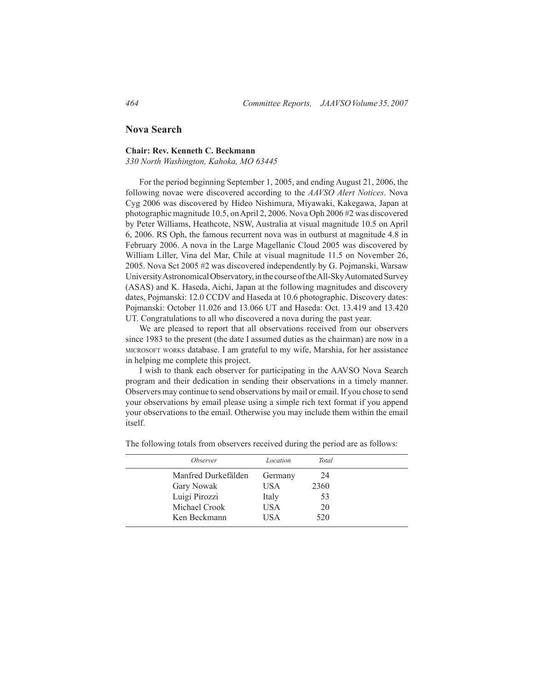# **Nova Search**

## **Chair: Rev. Kenneth C. Beckmann**

*330 North Washington, Kahoka, MO 63445*

For the period beginning September 1, 2005, and ending August 21, 2006, the following novae were discovered according to the *AAVSO Alert Notices*. Nova Cyg 2006 was discovered by Hideo Nishimura, Miyawaki, Kakegawa, Japan at photographic magnitude 10.5, on April 2, 2006. Nova Oph 2006 #2 was discovered by Peter Williams, Heathcote, NSW, Australia at visual magnitude 10.5 on April 6, 2006. RS Oph, the famous recurrent nova was in outburst at magnitude 4.8 in February 2006. A nova in the Large Magellanic Cloud 2005 was discovered by William Liller, Vina del Mar, Chile at visual magnitude 11.5 on November 26, 2005. Nova Sct 2005 #2 was discovered independently by G. Pojmanski, Warsaw University Astronomical Observatory, in the course of the All-Sky Automated Survey (ASAS) and K. Haseda, Aichi, Japan at the following magnitudes and discovery dates, Pojmanski: 12.0 CCDV and Haseda at 10.6 photographic. Discovery dates: Pojmanski: October 11.026 and 13.066 UT and Haseda: Oct. 13.419 and 13.420 UT. Congratulations to all who discovered a nova during the past year.

 We are pleased to report that all observations received from our observers since 1983 to the present (the date I assumed duties as the chairman) are now in a microsoft works database. I am grateful to my wife, Marshia, for her assistance in helping me complete this project.

I wish to thank each observer for participating in the AAVSO Nova Search program and their dedication in sending their observations in a timely manner. Observers may continue to send observations by mail or email. If you chose to send your observations by email please using a simple rich text format if you append your observations to the email. Otherwise you may include them within the email itself.

| <i><b>Observer</b></i> | Location   | <b>Total</b> |  |
|------------------------|------------|--------------|--|
| Manfred Durkefälden    | Germany    | 24           |  |
| Gary Nowak             | USA        | 2360         |  |
| Luigi Pirozzi          | Italy      | 53           |  |
| Michael Crook          | <b>USA</b> | 20           |  |
| Ken Beckmann           | USA        | 520          |  |

The following totals from observers received during the period are as follows: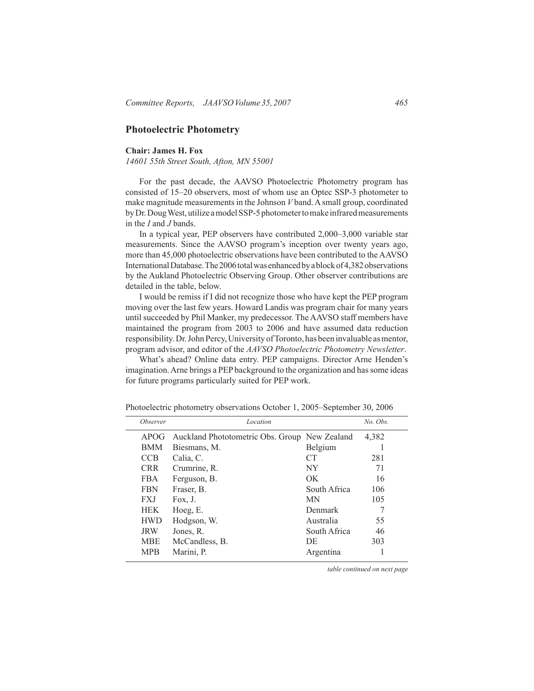# **Photoelectric Photometry**

## **Chair: James H. Fox**

*14601 55th Street South, Afton, MN 55001*

For the past decade, the AAVSO Photoelectric Photometry program has consisted of 15–20 observers, most of whom use an Optec SSP-3 photometer to make magnitude measurements in the Johnson *V* band. A small group, coordinated by Dr. Doug West, utilize a model SSP-5 photometer to make infrared measurements in the *I* and *J* bands.

In a typical year, PEP observers have contributed 2,000–3,000 variable star measurements. Since the AAVSO program's inception over twenty years ago, more than 45,000 photoelectric observations have been contributed to the AAVSO International Database. The 2006 total was enhanced by a block of 4,382 observations by the Aukland Photoelectric Observing Group. Other observer contributions are detailed in the table, below.

I would be remiss if I did not recognize those who have kept the PEP program moving over the last few years. Howard Landis was program chair for many years until succeeded by Phil Manker, my predecessor. The AAVSO staff members have maintained the program from 2003 to 2006 and have assumed data reduction responsibility. Dr. John Percy, University of Toronto, has been invaluable as mentor, program advisor, and editor of the *AAVSO Photoelectric Photometry Newsletter*.

What's ahead? Online data entry. PEP campaigns. Director Arne Henden's imagination. Arne brings a PEP background to the organization and has some ideas for future programs particularly suited for PEP work.

| <i><b>Observer</b></i> | Location                                      |                 | No. Obs. |  |
|------------------------|-----------------------------------------------|-----------------|----------|--|
| APOG                   | Auckland Phototometric Obs. Group New Zealand |                 | 4,382    |  |
| <b>BMM</b>             | Biesmans, M.                                  | Belgium         |          |  |
| <b>CCB</b>             | Calia, C.                                     | CT <sup>-</sup> | 281      |  |
| <b>CRR</b>             | Crumrine, R.                                  | NY              | 71       |  |
| <b>FBA</b>             | Ferguson, B.                                  | OK.             | 16       |  |
| <b>FBN</b>             | Fraser, B.                                    | South Africa    | 106      |  |
| <b>FXJ</b>             | Fox, J.                                       | <b>MN</b>       | 105      |  |
| <b>HEK</b>             | Hoeg, E.                                      | Denmark         |          |  |
| <b>HWD</b>             | Hodgson, W.                                   | Australia       | 55       |  |
| <b>JRW</b>             | Jones, R.                                     | South Africa    | 46       |  |
| <b>MBE</b>             | McCandless, B.                                | DE              | 303      |  |
| <b>MPB</b>             | Marini, P.                                    | Argentina       |          |  |

Photoelectric photometry observations October 1, 2005–September 30, 2006

*table continued on next page*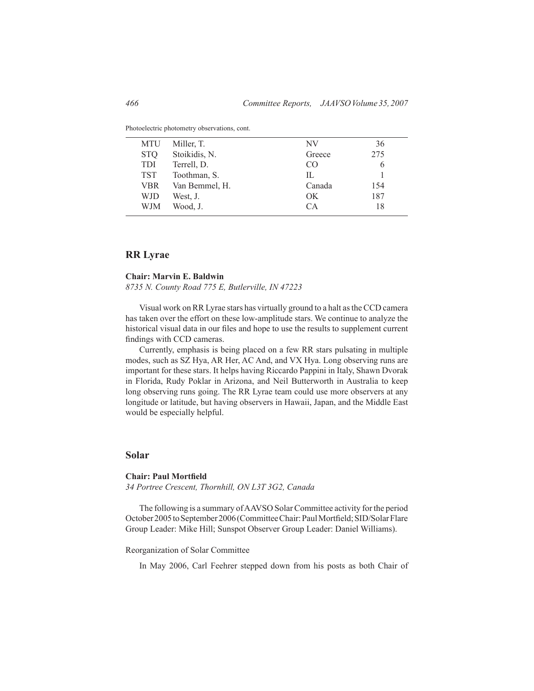| MTU        | Miller, T.     | NV     | 36  |
|------------|----------------|--------|-----|
| <b>STO</b> | Stoikidis, N.  | Greece | 275 |
| <b>TDI</b> | Terrell, D.    | CO     | h   |
| <b>TST</b> | Toothman, S.   | Π.     |     |
| VBR        | Van Bemmel, H. | Canada | 154 |
| WJD        | West, J.       | OK.    | 187 |
| WJM        | Wood, J.       | CА     | 18  |
|            |                |        |     |

Photoelectric photometry observations, cont.

# **RR Lyrae**

#### **Chair: Marvin E. Baldwin**

*8735 N. County Road 775 E, Butlerville, IN 47223*

Visual work on RR Lyrae stars has virtually ground to a halt as the CCD camera has taken over the effort on these low-amplitude stars. We continue to analyze the historical visual data in our files and hope to use the results to supplement current findings with CCD cameras.

 Currently, emphasis is being placed on a few RR stars pulsating in multiple modes, such as SZ Hya, AR Her, AC And, and VX Hya. Long observing runs are important for these stars. It helps having Riccardo Pappini in Italy, Shawn Dvorak in Florida, Rudy Poklar in Arizona, and Neil Butterworth in Australia to keep long observing runs going. The RR Lyrae team could use more observers at any longitude or latitude, but having observers in Hawaii, Japan, and the Middle East would be especially helpful.

## **Solar**

#### **Chair: Paul Mortfield**

*34 Portree Crescent, Thornhill, ON L3T 3G2, Canada*

The following is a summary of AAVSO Solar Committee activity for the period October 2005 to September 2006 (Committee Chair: Paul Mortfield; SID/Solar Flare Group Leader: Mike Hill; Sunspot Observer Group Leader: Daniel Williams).

#### Reorganization of Solar Committee

 In May 2006, Carl Feehrer stepped down from his posts as both Chair of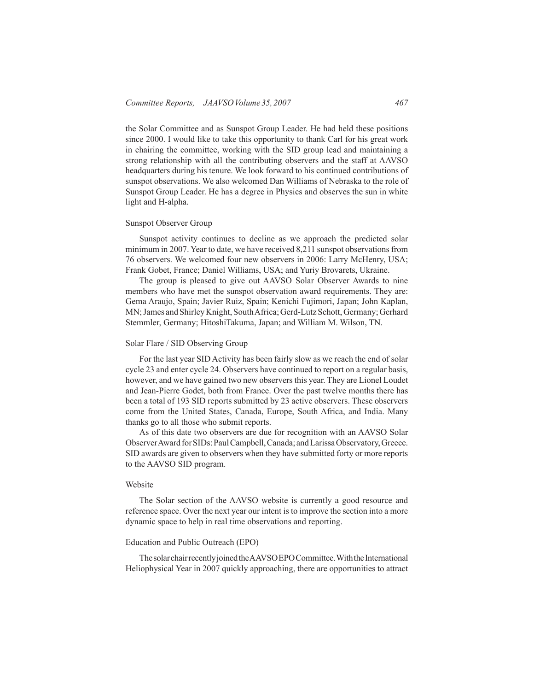the Solar Committee and as Sunspot Group Leader. He had held these positions since 2000. I would like to take this opportunity to thank Carl for his great work in chairing the committee, working with the SID group lead and maintaining a strong relationship with all the contributing observers and the staff at AAVSO headquarters during his tenure. We look forward to his continued contributions of sunspot observations. We also welcomed Dan Williams of Nebraska to the role of Sunspot Group Leader. He has a degree in Physics and observes the sun in white light and H-alpha.

#### Sunspot Observer Group

Sunspot activity continues to decline as we approach the predicted solar minimum in 2007. Year to date, we have received 8,211 sunspot observations from 76 observers. We welcomed four new observers in 2006: Larry McHenry, USA; Frank Gobet, France; Daniel Williams, USA; and Yuriy Brovarets, Ukraine.

The group is pleased to give out AAVSO Solar Observer Awards to nine members who have met the sunspot observation award requirements. They are: Gema Araujo, Spain; Javier Ruiz, Spain; Kenichi Fujimori, Japan; John Kaplan, MN; James and Shirley Knight, South Africa; Gerd-Lutz Schott, Germany; Gerhard Stemmler, Germany; HitoshiTakuma, Japan; and William M. Wilson, TN.

### Solar Flare / SID Observing Group

For the last year SID Activity has been fairly slow as we reach the end of solar cycle 23 and enter cycle 24. Observers have continued to report on a regular basis, however, and we have gained two new observersthis year. They are Lionel Loudet and Jean-Pierre Godet, both from France. Over the past twelve months there has been a total of 193 SID reports submitted by 23 active observers. These observers come from the United States, Canada, Europe, South Africa, and India. Many thanks go to all those who submit reports.

As of this date two observers are due for recognition with an AAVSO Solar Observer Award for SIDs: Paul Campbell, Canada; and Larissa Observatory, Greece. SID awards are given to observers when they have submitted forty or more reports to the AAVSO SID program.

## Website

The Solar section of the AAVSO website is currently a good resource and reference space. Over the next year our intent is to improve the section into a more dynamic space to help in real time observations and reporting.

#### Education and Public Outreach (EPO)

The solar chair recently joined the AAVSO EPO Committee. With the International Heliophysical Year in 2007 quickly approaching, there are opportunities to attract